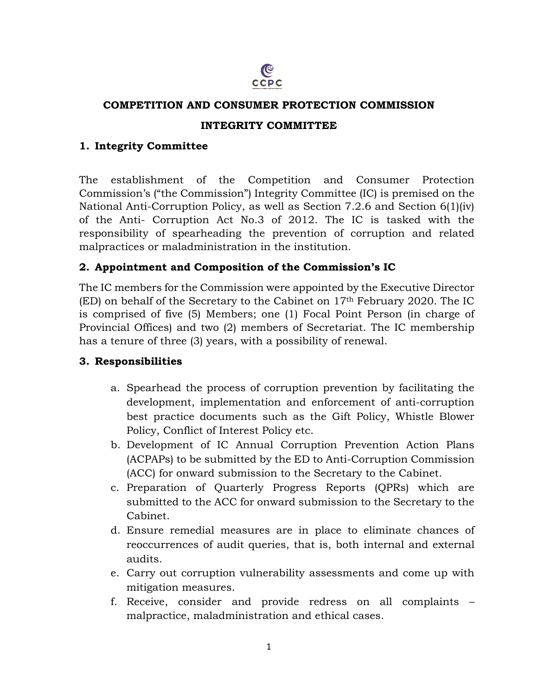

#### **COMPETITION AND CONSUMER PROTECTION COMMISSION**

### **INTEGRITY COMMITTEE**

### **1. Integrity Committee**

The establishment of the Competition and Consumer Protection Commission's ("the Commission") Integrity Committee (IC) is premised on the National Anti-Corruption Policy, as well as Section 7.2.6 and Section 6(1)(iv) of the Anti- Corruption Act No.3 of 2012. The IC is tasked with the responsibility of spearheading the prevention of corruption and related malpractices or maladministration in the institution.

## **2. Appointment and Composition of the Commission's IC**

The IC members for the Commission were appointed by the Executive Director (ED) on behalf of the Secretary to the Cabinet on 17th February 2020. The IC is comprised of five (5) Members; one (1) Focal Point Person (in charge of Provincial Offices) and two (2) members of Secretariat. The IC membership has a tenure of three (3) years, with a possibility of renewal.

#### **3. Responsibilities**

- a. Spearhead the process of corruption prevention by facilitating the development, implementation and enforcement of anti-corruption best practice documents such as the Gift Policy, Whistle Blower Policy, Conflict of Interest Policy etc.
- b. Development of IC Annual Corruption Prevention Action Plans (ACPAPs) to be submitted by the ED to Anti-Corruption Commission (ACC) for onward submission to the Secretary to the Cabinet.
- c. Preparation of Quarterly Progress Reports (QPRs) which are submitted to the ACC for onward submission to the Secretary to the Cabinet.
- d. Ensure remedial measures are in place to eliminate chances of reoccurrences of audit queries, that is, both internal and external audits.
- e. Carry out corruption vulnerability assessments and come up with mitigation measures.
- f. Receive, consider and provide redress on all complaints malpractice, maladministration and ethical cases.